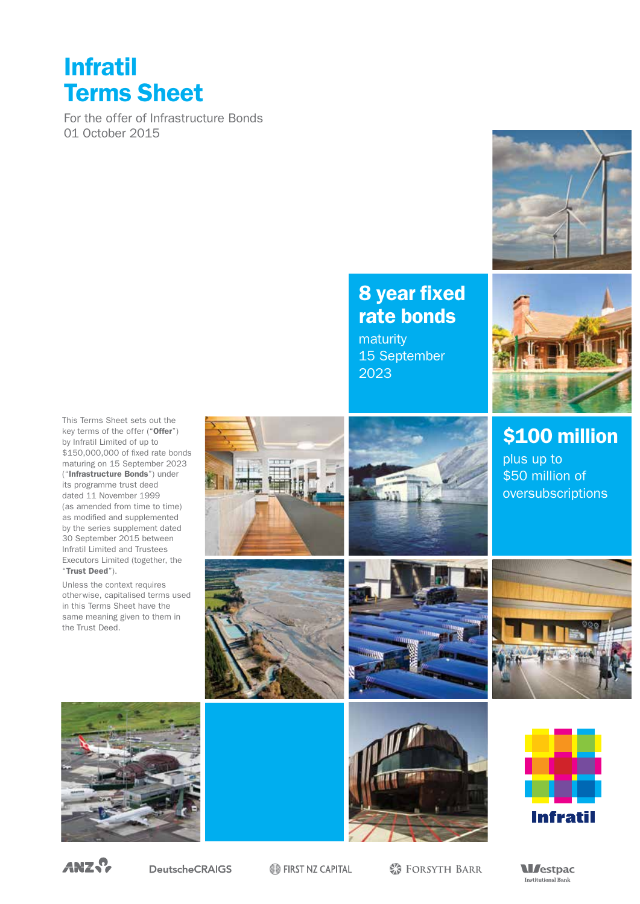## Infratil Terms Sheet

For the offer of Infrastructure Bonds 01 October 2015



## 8 year fixed rate bonds

maturity 15 September 2023



\$100 million

plus up to \$50 million of oversubscriptions

This Terms Sheet sets out the key terms of the offer ("Offer") by Infratil Limited of up to \$150,000,000 of fixed rate bonds maturing on 15 September 2023 ("Infrastructure Bonds") under its programme trust deed dated 11 November 1999 (as amended from time to time) as modified and supplemented by the series supplement dated 30 September 2015 between Infratil Limited and Trustees Executors Limited (together, the "Trust Deed").

Unless the context requires otherwise, capitalised terms used in this Terms Sheet have the same meaning given to them in the Trust Deed.















ANZ.?

**DeutscheCRAIGS** 

FIRST NZ CAPITAL

**※ FORSYTH BARR** 

**M**estpac Institutional Bank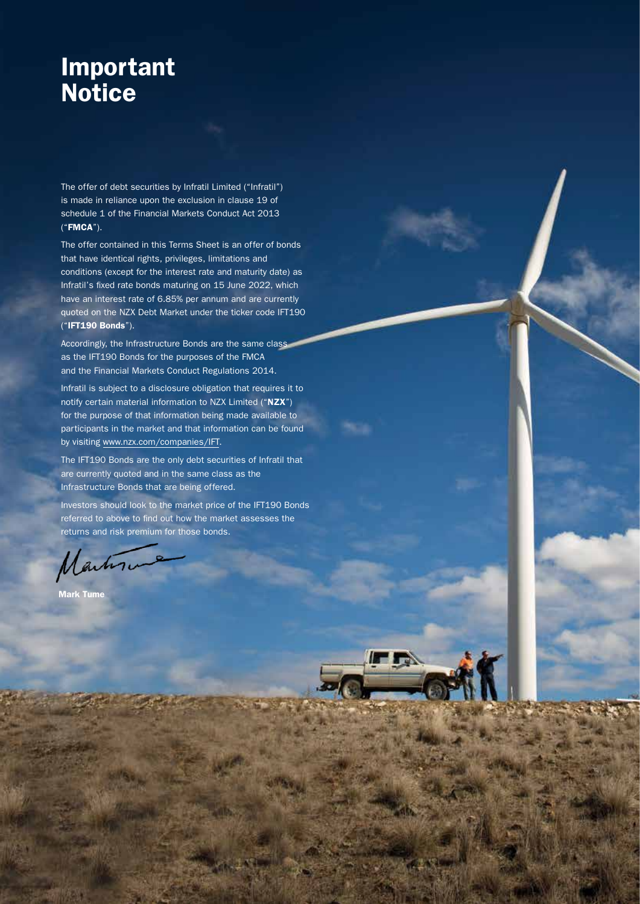## Important **Notice**

The offer of debt securities by Infratil Limited ("Infratil") is made in reliance upon the exclusion in clause 19 of schedule 1 of the Financial Markets Conduct Act 2013 ("FMCA").

The offer contained in this Terms Sheet is an offer of bonds that have identical rights, privileges, limitations and conditions (except for the interest rate and maturity date) as Infratil's fixed rate bonds maturing on 15 June 2022, which have an interest rate of 6.85% per annum and are currently quoted on the NZX Debt Market under the ticker code IFT190 ("IFT190 Bonds").

Accordingly, the Infrastructure Bonds are the same class as the IFT190 Bonds for the purposes of the FMCA and the Financial Markets Conduct Regulations 2014.

Infratil is subject to a disclosure obligation that requires it to notify certain material information to NZX Limited ("NZX") for the purpose of that information being made available to participants in the market and that information can be found by visiting www.nzx.com/companies/IFT.

The IFT190 Bonds are the only debt securities of Infratil that are currently quoted and in the same class as the Infrastructure Bonds that are being offered.

Investors should look to the market price of the IFT190 Bonds referred to above to find out how the market assesses the returns and risk premium for those bonds.

Martin

Mark Tume

Infratil Bond Offer 2015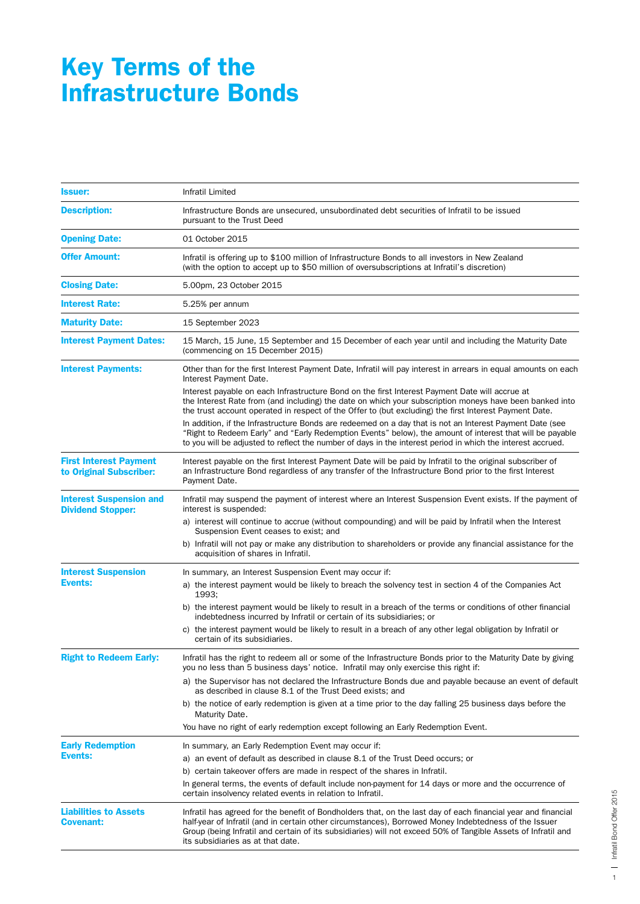## Key Terms of the Infrastructure Bonds

| <b>Issuer:</b>                                             | Infratil Limited                                                                                                                                                                                                                                                                                                                                                             |
|------------------------------------------------------------|------------------------------------------------------------------------------------------------------------------------------------------------------------------------------------------------------------------------------------------------------------------------------------------------------------------------------------------------------------------------------|
| <b>Description:</b>                                        | Infrastructure Bonds are unsecured, unsubordinated debt securities of Infratil to be issued<br>pursuant to the Trust Deed                                                                                                                                                                                                                                                    |
| <b>Opening Date:</b>                                       | 01 October 2015                                                                                                                                                                                                                                                                                                                                                              |
| <b>Offer Amount:</b>                                       | Infratil is offering up to \$100 million of Infrastructure Bonds to all investors in New Zealand<br>(with the option to accept up to \$50 million of oversubscriptions at Infratil's discretion)                                                                                                                                                                             |
| <b>Closing Date:</b>                                       | 5.00pm, 23 October 2015                                                                                                                                                                                                                                                                                                                                                      |
| <b>Interest Rate:</b>                                      | 5.25% per annum                                                                                                                                                                                                                                                                                                                                                              |
| <b>Maturity Date:</b>                                      | 15 September 2023                                                                                                                                                                                                                                                                                                                                                            |
| <b>Interest Payment Dates:</b>                             | 15 March, 15 June, 15 September and 15 December of each year until and including the Maturity Date<br>(commencing on 15 December 2015)                                                                                                                                                                                                                                       |
| <b>Interest Payments:</b>                                  | Other than for the first Interest Payment Date, Infratil will pay interest in arrears in equal amounts on each<br>Interest Payment Date.                                                                                                                                                                                                                                     |
|                                                            | Interest payable on each Infrastructure Bond on the first Interest Payment Date will accrue at<br>the Interest Rate from (and including) the date on which your subscription moneys have been banked into<br>the trust account operated in respect of the Offer to (but excluding) the first Interest Payment Date.                                                          |
|                                                            | In addition, if the Infrastructure Bonds are redeemed on a day that is not an Interest Payment Date (see<br>"Right to Redeem Early" and "Early Redemption Events" below), the amount of interest that will be payable<br>to you will be adjusted to reflect the number of days in the interest period in which the interest accrued.                                         |
| <b>First Interest Payment</b><br>to Original Subscriber:   | Interest payable on the first Interest Payment Date will be paid by Infratil to the original subscriber of<br>an Infrastructure Bond regardless of any transfer of the Infrastructure Bond prior to the first Interest<br>Payment Date.                                                                                                                                      |
| <b>Interest Suspension and</b><br><b>Dividend Stopper:</b> | Infratil may suspend the payment of interest where an Interest Suspension Event exists. If the payment of<br>interest is suspended:                                                                                                                                                                                                                                          |
|                                                            | a) interest will continue to accrue (without compounding) and will be paid by Infratil when the Interest<br>Suspension Event ceases to exist; and                                                                                                                                                                                                                            |
|                                                            | b) Infratil will not pay or make any distribution to shareholders or provide any financial assistance for the<br>acquisition of shares in Infratil.                                                                                                                                                                                                                          |
| <b>Interest Suspension</b>                                 | In summary, an Interest Suspension Event may occur if:                                                                                                                                                                                                                                                                                                                       |
| <b>Events:</b>                                             | a) the interest payment would be likely to breach the solvency test in section 4 of the Companies Act<br>1993;                                                                                                                                                                                                                                                               |
|                                                            | b) the interest payment would be likely to result in a breach of the terms or conditions of other financial<br>indebtedness incurred by Infratil or certain of its subsidiaries; or                                                                                                                                                                                          |
|                                                            | c) the interest payment would be likely to result in a breach of any other legal obligation by Infratil or<br>certain of its subsidiaries.                                                                                                                                                                                                                                   |
| <b>Right to Redeem Early:</b>                              | Infratil has the right to redeem all or some of the Infrastructure Bonds prior to the Maturity Date by giving<br>you no less than 5 business days' notice. Infratil may only exercise this right if:                                                                                                                                                                         |
|                                                            | a) the Supervisor has not declared the Infrastructure Bonds due and payable because an event of default<br>as described in clause 8.1 of the Trust Deed exists; and                                                                                                                                                                                                          |
|                                                            | b) the notice of early redemption is given at a time prior to the day falling 25 business days before the<br>Maturity Date.                                                                                                                                                                                                                                                  |
|                                                            | You have no right of early redemption except following an Early Redemption Event.                                                                                                                                                                                                                                                                                            |
| <b>Early Redemption</b>                                    | In summary, an Early Redemption Event may occur if:                                                                                                                                                                                                                                                                                                                          |
| <b>Events:</b>                                             | a) an event of default as described in clause 8.1 of the Trust Deed occurs; or                                                                                                                                                                                                                                                                                               |
|                                                            | b) certain takeover offers are made in respect of the shares in Infratil.                                                                                                                                                                                                                                                                                                    |
|                                                            | In general terms, the events of default include non-payment for 14 days or more and the occurrence of<br>certain insolvency related events in relation to Infratil.                                                                                                                                                                                                          |
| <b>Liabilities to Assets</b><br><b>Covenant:</b>           | Infratil has agreed for the benefit of Bondholders that, on the last day of each financial year and financial<br>half-year of Infratil (and in certain other circumstances), Borrowed Money Indebtedness of the Issuer<br>Group (being Infratil and certain of its subsidiaries) will not exceed 50% of Tangible Assets of Infratil and<br>its subsidiaries as at that date. |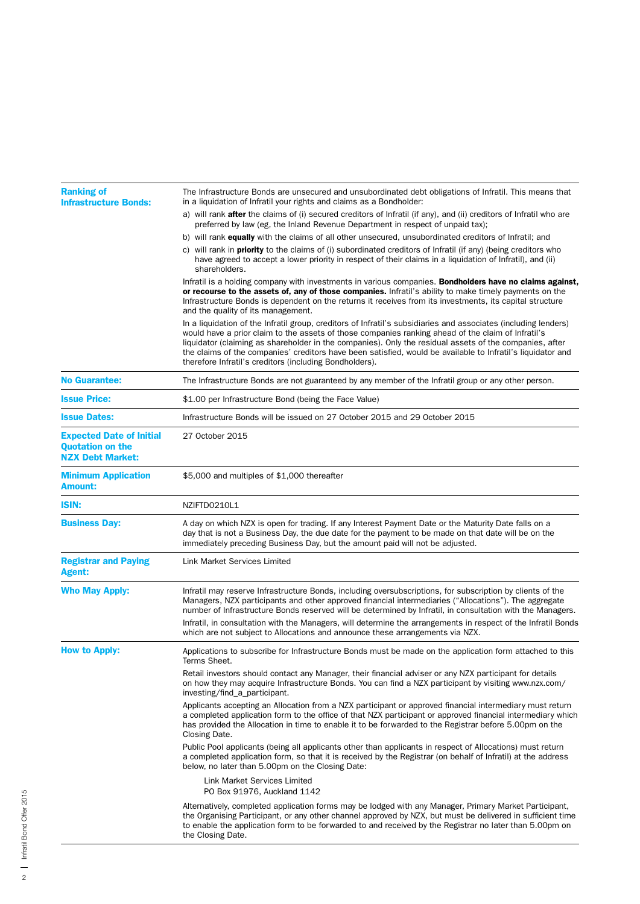| <b>Ranking of</b><br><b>Infrastructure Bonds:</b>                                     | The Infrastructure Bonds are unsecured and unsubordinated debt obligations of Infratil. This means that<br>in a liquidation of Infratil your rights and claims as a Bondholder:                                                                                                                                                                                                                                                                                                                            |
|---------------------------------------------------------------------------------------|------------------------------------------------------------------------------------------------------------------------------------------------------------------------------------------------------------------------------------------------------------------------------------------------------------------------------------------------------------------------------------------------------------------------------------------------------------------------------------------------------------|
|                                                                                       | a) will rank <b>after</b> the claims of (i) secured creditors of Infratil (if any), and (ii) creditors of Infratil who are<br>preferred by law (eg, the Inland Revenue Department in respect of unpaid tax);                                                                                                                                                                                                                                                                                               |
|                                                                                       | b) will rank <b>equally</b> with the claims of all other unsecured, unsubordinated creditors of Infratil; and                                                                                                                                                                                                                                                                                                                                                                                              |
|                                                                                       | c) will rank in <b>priority</b> to the claims of (i) subordinated creditors of Infratil (if any) (being creditors who<br>have agreed to accept a lower priority in respect of their claims in a liquidation of Infratil), and (ii)<br>shareholders.                                                                                                                                                                                                                                                        |
|                                                                                       | Infratil is a holding company with investments in various companies. <b>Bondholders have no claims against,</b><br>or recourse to the assets of, any of those companies. Infratil's ability to make timely payments on the<br>Infrastructure Bonds is dependent on the returns it receives from its investments, its capital structure<br>and the quality of its management.                                                                                                                               |
|                                                                                       | In a liquidation of the Infratil group, creditors of Infratil's subsidiaries and associates (including lenders)<br>would have a prior claim to the assets of those companies ranking ahead of the claim of Infratil's<br>liquidator (claiming as shareholder in the companies). Only the residual assets of the companies, after<br>the claims of the companies' creditors have been satisfied, would be available to Infratil's liquidator and<br>therefore Infratil's creditors (including Bondholders). |
| <b>No Guarantee:</b>                                                                  | The Infrastructure Bonds are not guaranteed by any member of the Infratil group or any other person.                                                                                                                                                                                                                                                                                                                                                                                                       |
| <b>Issue Price:</b>                                                                   | \$1.00 per Infrastructure Bond (being the Face Value)                                                                                                                                                                                                                                                                                                                                                                                                                                                      |
| <b>Issue Dates:</b>                                                                   | Infrastructure Bonds will be issued on 27 October 2015 and 29 October 2015                                                                                                                                                                                                                                                                                                                                                                                                                                 |
| <b>Expected Date of Initial</b><br><b>Quotation on the</b><br><b>NZX Debt Market:</b> | 27 October 2015                                                                                                                                                                                                                                                                                                                                                                                                                                                                                            |
| <b>Minimum Application</b><br><b>Amount:</b>                                          | \$5,000 and multiples of \$1,000 thereafter                                                                                                                                                                                                                                                                                                                                                                                                                                                                |
| <b>ISIN:</b>                                                                          | NZIFTD0210L1                                                                                                                                                                                                                                                                                                                                                                                                                                                                                               |
| <b>Business Day:</b>                                                                  | A day on which NZX is open for trading. If any Interest Payment Date or the Maturity Date falls on a<br>day that is not a Business Day, the due date for the payment to be made on that date will be on the<br>immediately preceding Business Day, but the amount paid will not be adjusted.                                                                                                                                                                                                               |
| <b>Registrar and Paying</b><br><b>Agent:</b>                                          | <b>Link Market Services Limited</b>                                                                                                                                                                                                                                                                                                                                                                                                                                                                        |
| <b>Who May Apply:</b>                                                                 | Infratil may reserve Infrastructure Bonds, including oversubscriptions, for subscription by clients of the<br>Managers, NZX participants and other approved financial intermediaries ("Allocations"). The aggregate<br>number of Infrastructure Bonds reserved will be determined by Infratil, in consultation with the Managers.                                                                                                                                                                          |
|                                                                                       | Infratil, in consultation with the Managers, will determine the arrangements in respect of the Infratil Bonds<br>which are not subject to Allocations and announce these arrangements via NZX.                                                                                                                                                                                                                                                                                                             |
| <b>How to Apply:</b>                                                                  | Applications to subscribe for Infrastructure Bonds must be made on the application form attached to this<br>Terms Sheet.                                                                                                                                                                                                                                                                                                                                                                                   |
|                                                                                       | Retail investors should contact any Manager, their financial adviser or any NZX participant for details<br>on how they may acquire Infrastructure Bonds. You can find a NZX participant by visiting www.nzx.com/<br>investing/find_a_participant.                                                                                                                                                                                                                                                          |
|                                                                                       | Applicants accepting an Allocation from a NZX participant or approved financial intermediary must return<br>a completed application form to the office of that NZX participant or approved financial intermediary which<br>has provided the Allocation in time to enable it to be forwarded to the Registrar before 5.00pm on the<br>Closing Date.                                                                                                                                                         |
|                                                                                       | Public Pool applicants (being all applicants other than applicants in respect of Allocations) must return<br>a completed application form, so that it is received by the Registrar (on behalf of Infratil) at the address<br>below, no later than 5.00pm on the Closing Date:                                                                                                                                                                                                                              |
|                                                                                       | Link Market Services Limited<br>PO Box 91976, Auckland 1142                                                                                                                                                                                                                                                                                                                                                                                                                                                |
|                                                                                       | Alternatively, completed application forms may be lodged with any Manager, Primary Market Participant,<br>the Organising Participant, or any other channel approved by NZX, but must be delivered in sufficient time<br>to enable the application form to be forwarded to and received by the Registrar no later than 5.00pm on<br>the Closing Date.                                                                                                                                                       |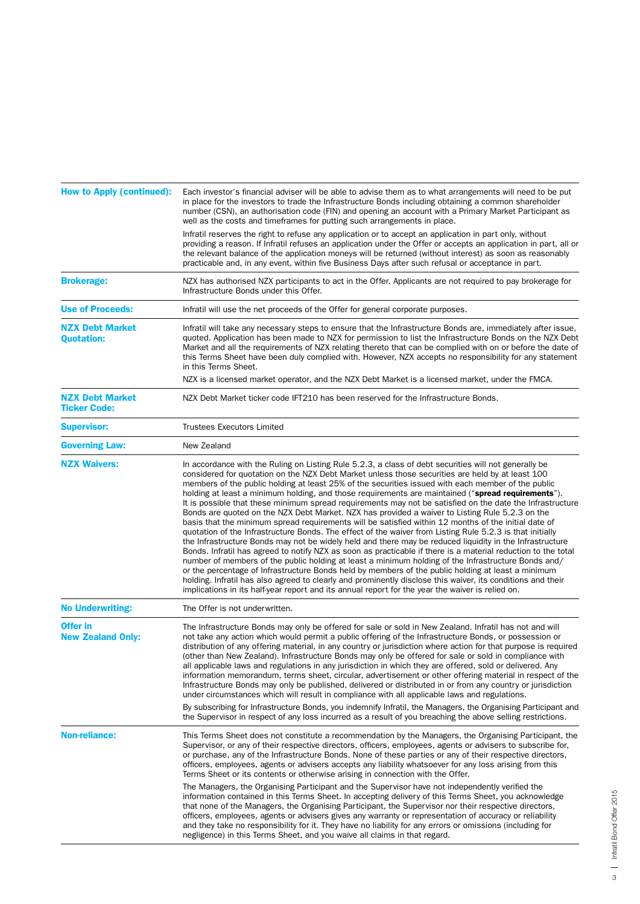| <b>How to Apply (continued):</b>              | Each investor's financial adviser will be able to advise them as to what arrangements will need to be put<br>in place for the investors to trade the Infrastructure Bonds including obtaining a common shareholder<br>number (CSN), an authorisation code (FIN) and opening an account with a Primary Market Participant as<br>well as the costs and timeframes for putting such arrangements in place.                                                                                                                                                                                                                                                                                                                                                                                                                                                                                                                                                                                                                                                                                                                                                                                                                                                                                                                                                                                                                                                                                                                 |
|-----------------------------------------------|-------------------------------------------------------------------------------------------------------------------------------------------------------------------------------------------------------------------------------------------------------------------------------------------------------------------------------------------------------------------------------------------------------------------------------------------------------------------------------------------------------------------------------------------------------------------------------------------------------------------------------------------------------------------------------------------------------------------------------------------------------------------------------------------------------------------------------------------------------------------------------------------------------------------------------------------------------------------------------------------------------------------------------------------------------------------------------------------------------------------------------------------------------------------------------------------------------------------------------------------------------------------------------------------------------------------------------------------------------------------------------------------------------------------------------------------------------------------------------------------------------------------------|
|                                               | Infratil reserves the right to refuse any application or to accept an application in part only, without<br>providing a reason. If Infratil refuses an application under the Offer or accepts an application in part, all or<br>the relevant balance of the application moneys will be returned (without interest) as soon as reasonably<br>practicable and, in any event, within five Business Days after such refusal or acceptance in part.                                                                                                                                                                                                                                                                                                                                                                                                                                                                                                                                                                                                                                                                                                                                                                                                                                                                                                                                                                                                                                                                           |
| <b>Brokerage:</b>                             | NZX has authorised NZX participants to act in the Offer. Applicants are not required to pay brokerage for<br>Infrastructure Bonds under this Offer.                                                                                                                                                                                                                                                                                                                                                                                                                                                                                                                                                                                                                                                                                                                                                                                                                                                                                                                                                                                                                                                                                                                                                                                                                                                                                                                                                                     |
| <b>Use of Proceeds:</b>                       | Infratil will use the net proceeds of the Offer for general corporate purposes.                                                                                                                                                                                                                                                                                                                                                                                                                                                                                                                                                                                                                                                                                                                                                                                                                                                                                                                                                                                                                                                                                                                                                                                                                                                                                                                                                                                                                                         |
| <b>NZX Debt Market</b><br><b>Quotation:</b>   | Infratil will take any necessary steps to ensure that the Infrastructure Bonds are, immediately after issue,<br>quoted. Application has been made to NZX for permission to list the Infrastructure Bonds on the NZX Debt<br>Market and all the requirements of NZX relating thereto that can be complied with on or before the date of<br>this Terms Sheet have been duly complied with. However, NZX accepts no responsibility for any statement<br>in this Terms Sheet.                                                                                                                                                                                                                                                                                                                                                                                                                                                                                                                                                                                                                                                                                                                                                                                                                                                                                                                                                                                                                                               |
|                                               | NZX is a licensed market operator, and the NZX Debt Market is a licensed market, under the FMCA.                                                                                                                                                                                                                                                                                                                                                                                                                                                                                                                                                                                                                                                                                                                                                                                                                                                                                                                                                                                                                                                                                                                                                                                                                                                                                                                                                                                                                        |
| <b>NZX Debt Market</b><br><b>Ticker Code:</b> | NZX Debt Market ticker code IFT210 has been reserved for the Infrastructure Bonds.                                                                                                                                                                                                                                                                                                                                                                                                                                                                                                                                                                                                                                                                                                                                                                                                                                                                                                                                                                                                                                                                                                                                                                                                                                                                                                                                                                                                                                      |
| <b>Supervisor:</b>                            | <b>Trustees Executors Limited</b>                                                                                                                                                                                                                                                                                                                                                                                                                                                                                                                                                                                                                                                                                                                                                                                                                                                                                                                                                                                                                                                                                                                                                                                                                                                                                                                                                                                                                                                                                       |
| <b>Governing Law:</b>                         | New Zealand                                                                                                                                                                                                                                                                                                                                                                                                                                                                                                                                                                                                                                                                                                                                                                                                                                                                                                                                                                                                                                                                                                                                                                                                                                                                                                                                                                                                                                                                                                             |
| <b>NZX Waivers:</b>                           | In accordance with the Ruling on Listing Rule 5.2.3, a class of debt securities will not generally be<br>considered for quotation on the NZX Debt Market unless those securities are held by at least 100<br>members of the public holding at least 25% of the securities issued with each member of the public<br>holding at least a minimum holding, and those requirements are maintained ("spread requirements").<br>It is possible that these minimum spread requirements may not be satisfied on the date the Infrastructure<br>Bonds are quoted on the NZX Debt Market. NZX has provided a waiver to Listing Rule 5.2.3 on the<br>basis that the minimum spread requirements will be satisfied within 12 months of the initial date of<br>quotation of the Infrastructure Bonds. The effect of the waiver from Listing Rule 5.2.3 is that initially<br>the Infrastructure Bonds may not be widely held and there may be reduced liquidity in the Infrastructure<br>Bonds. Infratil has agreed to notify NZX as soon as practicable if there is a material reduction to the total<br>number of members of the public holding at least a minimum holding of the Infrastructure Bonds and/<br>or the percentage of Infrastructure Bonds held by members of the public holding at least a minimum<br>holding. Infratil has also agreed to clearly and prominently disclose this waiver, its conditions and their<br>implications in its half-year report and its annual report for the year the waiver is relied on. |
| <b>No Underwriting:</b>                       | The Offer is not underwritten.                                                                                                                                                                                                                                                                                                                                                                                                                                                                                                                                                                                                                                                                                                                                                                                                                                                                                                                                                                                                                                                                                                                                                                                                                                                                                                                                                                                                                                                                                          |
| <b>Offer in</b><br><b>New Zealand Only:</b>   | The Infrastructure Bonds may only be offered for sale or sold in New Zealand. Infratil has not and will<br>not take any action which would permit a public offering of the Infrastructure Bonds, or possession or<br>distribution of any offering material, in any country or jurisdiction where action for that purpose is required<br>(other than New Zealand). Infrastructure Bonds may only be offered for sale or sold in compliance with<br>all applicable laws and regulations in any jurisdiction in which they are offered, sold or delivered. Any<br>information memorandum, terms sheet, circular, advertisement or other offering material in respect of the<br>Infrastructure Bonds may only be published, delivered or distributed in or from any country or jurisdiction<br>under circumstances which will result in compliance with all applicable laws and regulations.<br>By subscribing for Infrastructure Bonds, you indemnify Infratil, the Managers, the Organising Participant and                                                                                                                                                                                                                                                                                                                                                                                                                                                                                                               |
|                                               | the Supervisor in respect of any loss incurred as a result of you breaching the above selling restrictions.                                                                                                                                                                                                                                                                                                                                                                                                                                                                                                                                                                                                                                                                                                                                                                                                                                                                                                                                                                                                                                                                                                                                                                                                                                                                                                                                                                                                             |
| <b>Non-reliance:</b>                          | This Terms Sheet does not constitute a recommendation by the Managers, the Organising Participant, the<br>Supervisor, or any of their respective directors, officers, employees, agents or advisers to subscribe for,<br>or purchase, any of the Infrastructure Bonds. None of these parties or any of their respective directors,<br>officers, employees, agents or advisers accepts any liability whatsoever for any loss arising from this<br>Terms Sheet or its contents or otherwise arising in connection with the Offer.                                                                                                                                                                                                                                                                                                                                                                                                                                                                                                                                                                                                                                                                                                                                                                                                                                                                                                                                                                                         |
|                                               | The Managers, the Organising Participant and the Supervisor have not independently verified the<br>information contained in this Terms Sheet. In accepting delivery of this Terms Sheet, you acknowledge<br>that none of the Managers, the Organising Participant, the Supervisor nor their respective directors,<br>officers, employees, agents or advisers gives any warranty or representation of accuracy or reliability<br>and they take no responsibility for it. They have no liability for any errors or omissions (including for<br>negligence) in this Terms Sheet, and you waive all claims in that regard.                                                                                                                                                                                                                                                                                                                                                                                                                                                                                                                                                                                                                                                                                                                                                                                                                                                                                                  |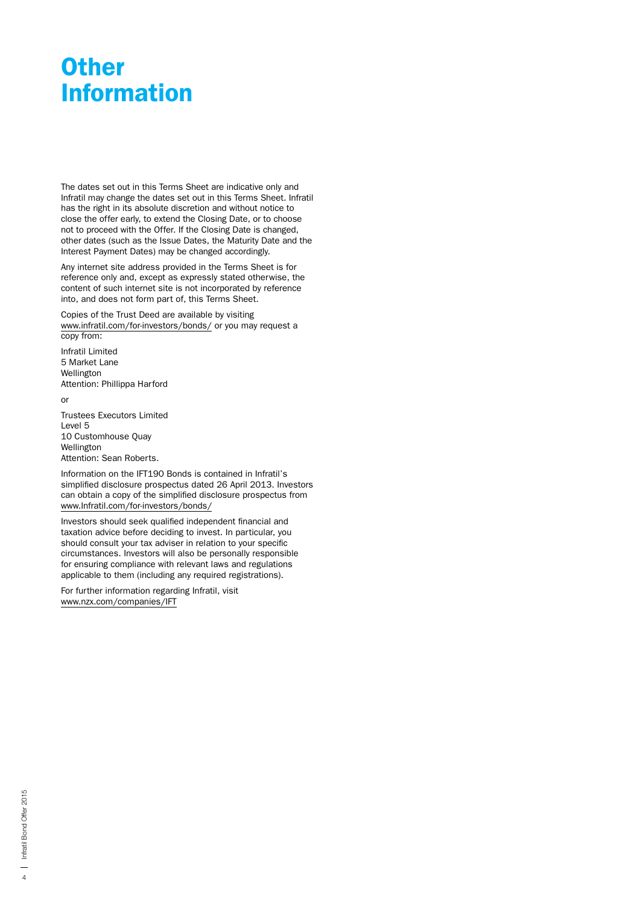## **Other** Information

The dates set out in this Terms Sheet are indicative only and Infratil may change the dates set out in this Terms Sheet. Infratil has the right in its absolute discretion and without notice to close the offer early, to extend the Closing Date, or to choose not to proceed with the Offer. If the Closing Date is changed, other dates (such as the Issue Dates, the Maturity Date and the Interest Payment Dates) may be changed accordingly.

Any internet site address provided in the Terms Sheet is for reference only and, except as expressly stated otherwise, the content of such internet site is not incorporated by reference into, and does not form part of, this Terms Sheet.

Copies of the Trust Deed are available by visiting www.infratil.com/for-investors/bonds/ or you may request a copy from:

Infratil Limited 5 Market Lane Wellington Attention: Phillippa Harford

or

Trustees Executors Limited Level 5 10 Customhouse Quay Wellington Attention: Sean Roberts.

Information on the IFT190 Bonds is contained in Infratil's simplified disclosure prospectus dated 26 April 2013. Investors can obtain a copy of the simplified disclosure prospectus from www.Infratil.com/for-investors/bonds/

Investors should seek qualified independent financial and taxation advice before deciding to invest. In particular, you should consult your tax adviser in relation to your specific circumstances. Investors will also be personally responsible for ensuring compliance with relevant laws and regulations applicable to them (including any required registrations).

For further information regarding Infratil, visit www.nzx.com/companies/IFT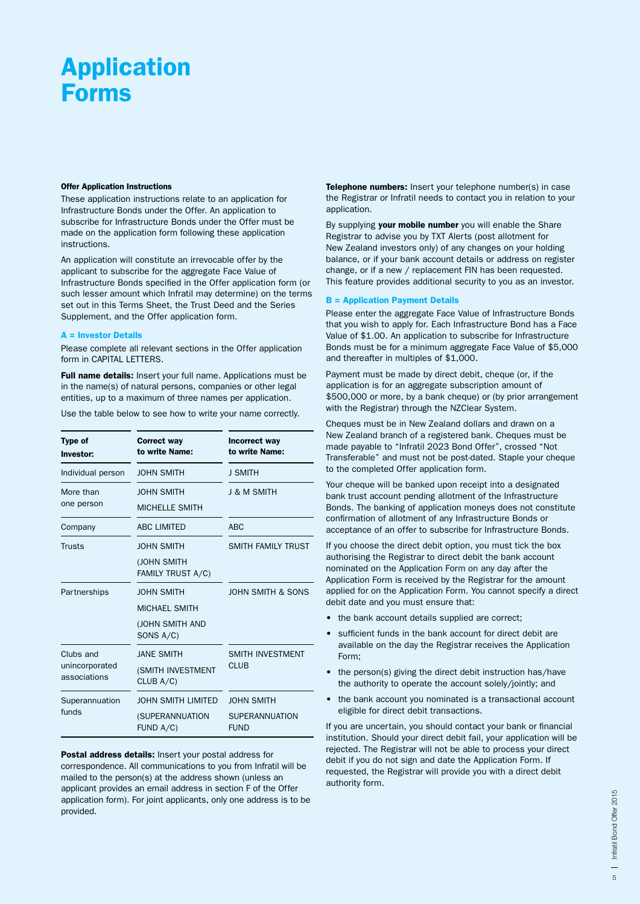## Application Forms

#### Offer Application Instructions

These application instructions relate to an application for Infrastructure Bonds under the Offer. An application to subscribe for Infrastructure Bonds under the Offer must be made on the application form following these application instructions.

An application will constitute an irrevocable offer by the applicant to subscribe for the aggregate Face Value of Infrastructure Bonds specified in the Offer application form (or such lesser amount which Infratil may determine) on the terms set out in this Terms Sheet, the Trust Deed and the Series Supplement, and the Offer application form.

#### A = Investor Details

Please complete all relevant sections in the Offer application form in CAPITAL LETTERS.

Full name details: Insert your full name. Applications must be in the name(s) of natural persons, companies or other legal entities, up to a maximum of three names per application.

Use the table below to see how to write your name correctly.

| Type of<br>Investor:                        | <b>Correct way</b><br>to write Name:                                      | Incorrect way<br>to write Name:                           |
|---------------------------------------------|---------------------------------------------------------------------------|-----------------------------------------------------------|
| Individual person                           | <b>JOHN SMITH</b>                                                         | <b>J SMITH</b>                                            |
| More than<br>one person                     | <b>JOHN SMITH</b><br><b>MICHELLE SMITH</b>                                | <b>J &amp; M SMITH</b>                                    |
| Company                                     | <b>ABC LIMITED</b>                                                        | <b>ABC</b>                                                |
| <b>Trusts</b>                               | <b>JOHN SMITH</b><br>(JOHN SMITH<br>FAMILY TRUST A/C)                     | <b>SMITH FAMILY TRUST</b>                                 |
| Partnerships                                | <b>JOHN SMITH</b><br><b>MICHAEL SMITH</b><br>(JOHN SMITH AND<br>SONS A/C) | <b>JOHN SMITH &amp; SONS</b>                              |
| Clubs and<br>unincorporated<br>associations | <b>JANE SMITH</b><br>(SMITH INVESTMENT<br>CLUB A/C)                       | <b>SMITH INVESTMENT</b><br><b>CLUB</b>                    |
| Superannuation<br>funds                     | <b>JOHN SMITH LIMITED</b><br>(SUPERANNUATION<br>FUND A/C)                 | <b>JOHN SMITH</b><br><b>SUPERANNUATION</b><br><b>FUND</b> |

Postal address details: Insert your postal address for correspondence. All communications to you from Infratil will be mailed to the person(s) at the address shown (unless an applicant provides an email address in section F of the Offer application form). For joint applicants, only one address is to be provided.

Telephone numbers: Insert your telephone number(s) in case the Registrar or Infratil needs to contact you in relation to your application.

By supplying your mobile number you will enable the Share Registrar to advise you by TXT Alerts (post allotment for New Zealand investors only) of any changes on your holding balance, or if your bank account details or address on register change, or if a new / replacement FIN has been requested. This feature provides additional security to you as an investor.

#### B = Application Payment Details

Please enter the aggregate Face Value of Infrastructure Bonds that you wish to apply for. Each Infrastructure Bond has a Face Value of \$1.00. An application to subscribe for Infrastructure Bonds must be for a minimum aggregate Face Value of \$5,000 and thereafter in multiples of \$1,000.

Payment must be made by direct debit, cheque (or, if the application is for an aggregate subscription amount of \$500,000 or more, by a bank cheque) or (by prior arrangement with the Registrar) through the NZClear System.

Cheques must be in New Zealand dollars and drawn on a New Zealand branch of a registered bank. Cheques must be made payable to "Infratil 2023 Bond Offer", crossed "Not Transferable" and must not be post-dated. Staple your cheque to the completed Offer application form.

Your cheque will be banked upon receipt into a designated bank trust account pending allotment of the Infrastructure Bonds. The banking of application moneys does not constitute confirmation of allotment of any Infrastructure Bonds or acceptance of an offer to subscribe for Infrastructure Bonds.

If you choose the direct debit option, you must tick the box authorising the Registrar to direct debit the bank account nominated on the Application Form on any day after the Application Form is received by the Registrar for the amount applied for on the Application Form. You cannot specify a direct debit date and you must ensure that:

- the bank account details supplied are correct;
- sufficient funds in the bank account for direct debit are available on the day the Registrar receives the Application Form;
- the person(s) giving the direct debit instruction has/have the authority to operate the account solely/jointly; and
- the bank account you nominated is a transactional account eligible for direct debit transactions.

If you are uncertain, you should contact your bank or financial institution. Should your direct debit fail, your application will be rejected. The Registrar will not be able to process your direct debit if you do not sign and date the Application Form. If requested, the Registrar will provide you with a direct debit authority form.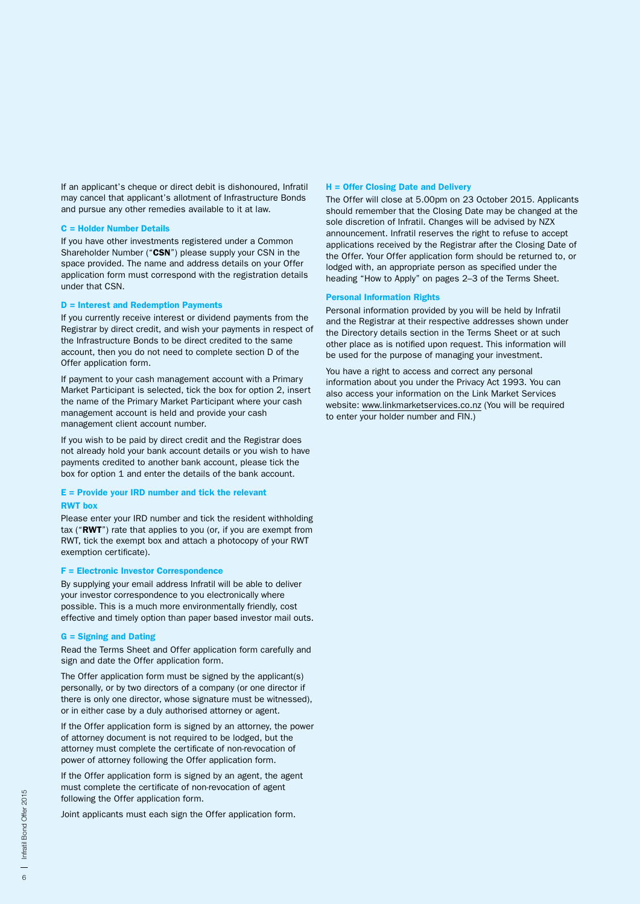If an applicant's cheque or direct debit is dishonoured, Infratil may cancel that applicant's allotment of Infrastructure Bonds and pursue any other remedies available to it at law.

#### C = Holder Number Details

If you have other investments registered under a Common Shareholder Number ("CSN") please supply your CSN in the space provided. The name and address details on your Offer application form must correspond with the registration details under that CSN.

#### D = Interest and Redemption Payments

If you currently receive interest or dividend payments from the Registrar by direct credit, and wish your payments in respect of the Infrastructure Bonds to be direct credited to the same account, then you do not need to complete section D of the Offer application form.

If payment to your cash management account with a Primary Market Participant is selected, tick the box for option 2, insert the name of the Primary Market Participant where your cash management account is held and provide your cash management client account number.

If you wish to be paid by direct credit and the Registrar does not already hold your bank account details or you wish to have payments credited to another bank account, please tick the box for option 1 and enter the details of the bank account.

#### E = Provide your IRD number and tick the relevant RWT box

Please enter your IRD number and tick the resident withholding tax ("RWT") rate that applies to you (or, if you are exempt from RWT, tick the exempt box and attach a photocopy of your RWT exemption certificate).

#### F = Electronic Investor Correspondence

By supplying your email address Infratil will be able to deliver your investor correspondence to you electronically where possible. This is a much more environmentally friendly, cost effective and timely option than paper based investor mail outs.

#### G = Signing and Dating

Read the Terms Sheet and Offer application form carefully and sign and date the Offer application form.

The Offer application form must be signed by the applicant(s) personally, or by two directors of a company (or one director if there is only one director, whose signature must be witnessed), or in either case by a duly authorised attorney or agent.

If the Offer application form is signed by an attorney, the power of attorney document is not required to be lodged, but the attorney must complete the certificate of non-revocation of power of attorney following the Offer application form.

If the Offer application form is signed by an agent, the agent must complete the certificate of non-revocation of agent following the Offer application form.

Joint applicants must each sign the Offer application form.

#### H = Offer Closing Date and Delivery

The Offer will close at 5.00pm on 23 October 2015. Applicants should remember that the Closing Date may be changed at the sole discretion of Infratil. Changes will be advised by NZX announcement. Infratil reserves the right to refuse to accept applications received by the Registrar after the Closing Date of the Offer. Your Offer application form should be returned to, or lodged with, an appropriate person as specified under the heading "How to Apply" on pages 2–3 of the Terms Sheet.

### Personal Information Rights

Personal information provided by you will be held by Infratil and the Registrar at their respective addresses shown under the Directory details section in the Terms Sheet or at such other place as is notified upon request. This information will be used for the purpose of managing your investment.

You have a right to access and correct any personal information about you under the Privacy Act 1993. You can also access your information on the Link Market Services website: www.linkmarketservices.co.nz (You will be required to enter your holder number and FIN.)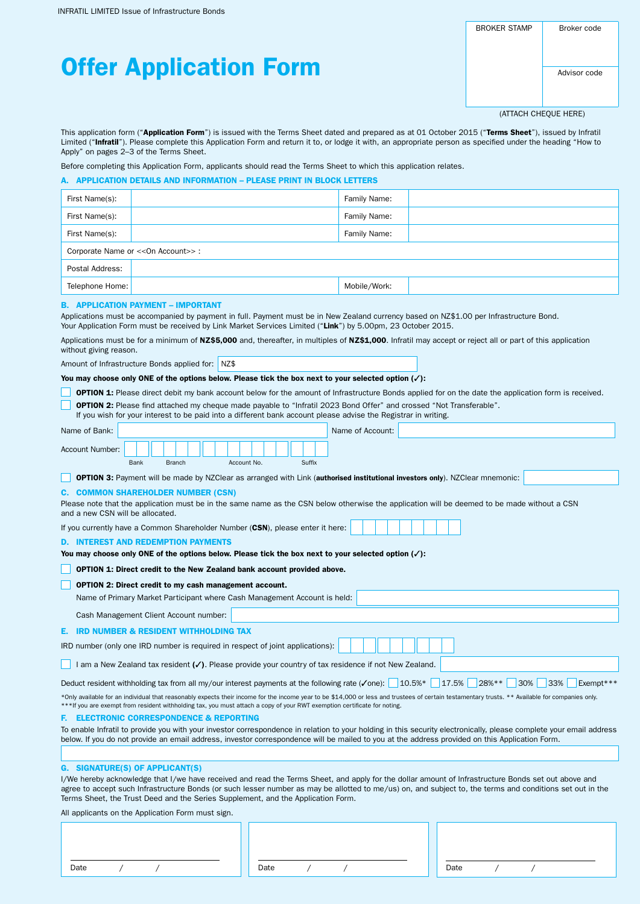INFRATIL LIMITED Issue of Infrastructure Bonds

BROKER STAMP | Broker code

# Offer Application Form

(ATTACH CHEQUE HERE)

Infratil Bond Offer 2015

7

This application form ("Application Form") is issued with the Terms Sheet dated and prepared as at 01 October 2015 ("Terms Sheet"), issued by Infratil Limited ("Infratil"). Please complete this Application Form and return it to, or lodge it with, an appropriate person as specified under the heading "How to Apply" on pages 2–3 of the Terms Sheet.

Before completing this Application Form, applicants should read the Terms Sheet to which this application relates.

#### A. APPLICATION DETAILS AND INFORMATION – PLEASE PRINT IN BLOCK LETTERS

| First Name(s):                   |                                                                                                                                                                                                                                                                                                                                                                                                                                                                  | Family Name:     |                                                                                                                                                                     |
|----------------------------------|------------------------------------------------------------------------------------------------------------------------------------------------------------------------------------------------------------------------------------------------------------------------------------------------------------------------------------------------------------------------------------------------------------------------------------------------------------------|------------------|---------------------------------------------------------------------------------------------------------------------------------------------------------------------|
| First Name(s):                   |                                                                                                                                                                                                                                                                                                                                                                                                                                                                  | Family Name:     |                                                                                                                                                                     |
| First Name(s):                   |                                                                                                                                                                                                                                                                                                                                                                                                                                                                  | Family Name:     |                                                                                                                                                                     |
|                                  | Corporate Name or << On Account>>:                                                                                                                                                                                                                                                                                                                                                                                                                               |                  |                                                                                                                                                                     |
| Postal Address:                  |                                                                                                                                                                                                                                                                                                                                                                                                                                                                  |                  |                                                                                                                                                                     |
| Telephone Home:                  |                                                                                                                                                                                                                                                                                                                                                                                                                                                                  | Mobile/Work:     |                                                                                                                                                                     |
| without giving reason.           | <b>B. APPLICATION PAYMENT - IMPORTANT</b><br>Applications must be accompanied by payment in full. Payment must be in New Zealand currency based on NZ\$1.00 per Infrastructure Bond.<br>Your Application Form must be received by Link Market Services Limited ("Link") by 5.00pm, 23 October 2015.<br>Applications must be for a minimum of NZ\$5,000 and, thereafter, in multiples of NZ\$1,000. Infratil may accept or reject all or part of this application |                  |                                                                                                                                                                     |
|                                  | Amount of Infrastructure Bonds applied for:<br>$NZ$ \$                                                                                                                                                                                                                                                                                                                                                                                                           |                  |                                                                                                                                                                     |
|                                  | You may choose only ONE of the options below. Please tick the box next to your selected option $(\checkmark)$ :                                                                                                                                                                                                                                                                                                                                                  |                  |                                                                                                                                                                     |
|                                  | <b>OPTION 1:</b> Please direct debit my bank account below for the amount of Infrastructure Bonds applied for on the date the application form is received.                                                                                                                                                                                                                                                                                                      |                  |                                                                                                                                                                     |
|                                  | <b>OPTION 2:</b> Please find attached my cheque made payable to "Infratil 2023 Bond Offer" and crossed "Not Transferable".<br>If you wish for your interest to be paid into a different bank account please advise the Registrar in writing.                                                                                                                                                                                                                     |                  |                                                                                                                                                                     |
|                                  |                                                                                                                                                                                                                                                                                                                                                                                                                                                                  |                  |                                                                                                                                                                     |
| Name of Bank:                    |                                                                                                                                                                                                                                                                                                                                                                                                                                                                  | Name of Account: |                                                                                                                                                                     |
| Account Number:                  | Bank<br><b>Branch</b><br>Account No.<br>Suffix                                                                                                                                                                                                                                                                                                                                                                                                                   |                  |                                                                                                                                                                     |
|                                  | <b>OPTION 3:</b> Payment will be made by NZClear as arranged with Link (authorised institutional investors only). NZClear mnemonic:                                                                                                                                                                                                                                                                                                                              |                  |                                                                                                                                                                     |
|                                  | <b>C. COMMON SHAREHOLDER NUMBER (CSN)</b>                                                                                                                                                                                                                                                                                                                                                                                                                        |                  |                                                                                                                                                                     |
| and a new CSN will be allocated. | Please note that the application must be in the same name as the CSN below otherwise the application will be deemed to be made without a CSN                                                                                                                                                                                                                                                                                                                     |                  |                                                                                                                                                                     |
|                                  | If you currently have a Common Shareholder Number (CSN), please enter it here:                                                                                                                                                                                                                                                                                                                                                                                   |                  |                                                                                                                                                                     |
|                                  | <b>D. INTEREST AND REDEMPTION PAYMENTS</b>                                                                                                                                                                                                                                                                                                                                                                                                                       |                  |                                                                                                                                                                     |
|                                  | You may choose only ONE of the options below. Please tick the box next to your selected option $(\checkmark)$ :                                                                                                                                                                                                                                                                                                                                                  |                  |                                                                                                                                                                     |
|                                  | OPTION 1: Direct credit to the New Zealand bank account provided above.                                                                                                                                                                                                                                                                                                                                                                                          |                  |                                                                                                                                                                     |
|                                  | <b>OPTION 2: Direct credit to my cash management account.</b>                                                                                                                                                                                                                                                                                                                                                                                                    |                  |                                                                                                                                                                     |
|                                  | Name of Primary Market Participant where Cash Management Account is held:                                                                                                                                                                                                                                                                                                                                                                                        |                  |                                                                                                                                                                     |
|                                  | Cash Management Client Account number:                                                                                                                                                                                                                                                                                                                                                                                                                           |                  |                                                                                                                                                                     |
| Е.                               | <b>IRD NUMBER &amp; RESIDENT WITHHOLDING TAX</b>                                                                                                                                                                                                                                                                                                                                                                                                                 |                  |                                                                                                                                                                     |
|                                  | IRD number (only one IRD number is required in respect of joint applications):                                                                                                                                                                                                                                                                                                                                                                                   |                  |                                                                                                                                                                     |
|                                  | I am a New Zealand tax resident $(\checkmark)$ . Please provide your country of tax residence if not New Zealand.                                                                                                                                                                                                                                                                                                                                                |                  |                                                                                                                                                                     |
|                                  | Deduct resident withholding tax from all my/our interest payments at the following rate ( $\checkmark$ one): 10.5%* 17.5%                                                                                                                                                                                                                                                                                                                                        |                  | 28% **<br>30%<br>33%<br>Exempt***                                                                                                                                   |
|                                  | *Only available for an individual that reasonably expects their income for the income year to be \$14,000 or less and trustees of certain testamentary trusts. ** Available for companies only.<br>***If you are exempt from resident withholding tax, you must attach a copy of your RWT exemption certificate for noting.                                                                                                                                      |                  |                                                                                                                                                                     |
|                                  | <b>ELECTRONIC CORRESPONDENCE &amp; REPORTING</b>                                                                                                                                                                                                                                                                                                                                                                                                                 |                  |                                                                                                                                                                     |
|                                  |                                                                                                                                                                                                                                                                                                                                                                                                                                                                  |                  | To enable Infratil to provide you with your investor correspondence in relation to your holding in this security electronically, please complete your email address |

below. If you do not provide an email address, investor correspondence will be mailed to you at the address provided on this Application Form.

#### G. SIGNATURE(S) OF APPLICANT(S)

I/We hereby acknowledge that I/we have received and read the Terms Sheet, and apply for the dollar amount of Infrastructure Bonds set out above and agree to accept such Infrastructure Bonds (or such lesser number as may be allotted to me/us) on, and subject to, the terms and conditions set out in the Terms Sheet, the Trust Deed and the Series Supplement, and the Application Form.

All applicants on the Application Form must sign.

| Date | Date |  |  | Date |  |  |
|------|------|--|--|------|--|--|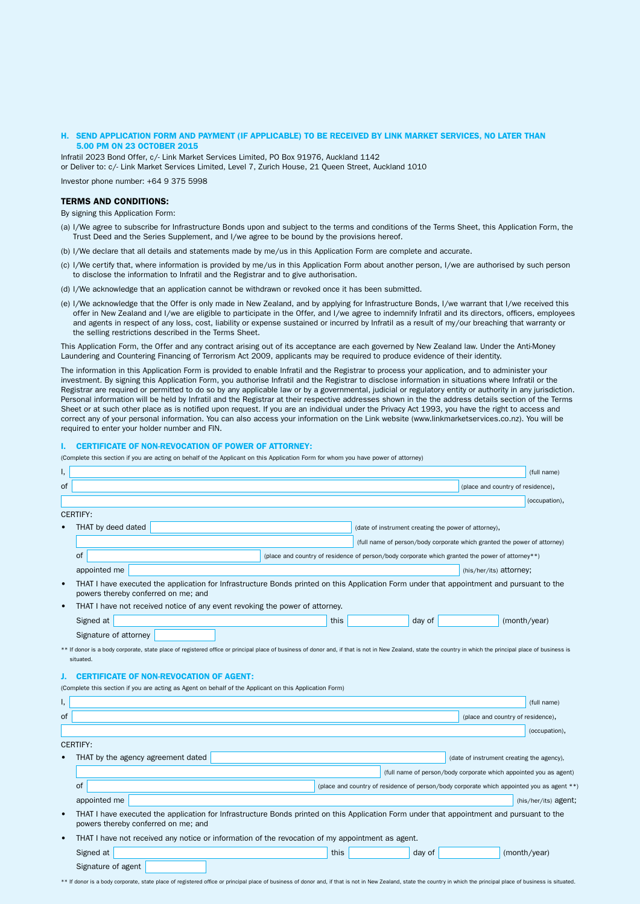#### H. SEND APPLICATION FORM AND PAYMENT (IF APPLICABLE) TO BE RECEIVED BY LINK MARKET SERVICES, NO LATER THAN 5.00 PM ON 23 OCTOBER 2015

Infratil 2023 Bond Offer, c/- Link Market Services Limited, PO Box 91976, Auckland 1142 or Deliver to: c/- Link Market Services Limited, Level 7, Zurich House, 21 Queen Street, Auckland 1010

Investor phone number: +64 9 375 5998

#### TERMS AND CONDITIONS:

Signature of agent

By signing this Application Form:

- (a) I/We agree to subscribe for Infrastructure Bonds upon and subject to the terms and conditions of the Terms Sheet, this Application Form, the Trust Deed and the Series Supplement, and I/we agree to be bound by the provisions hereof.
- (b) I/We declare that all details and statements made by me/us in this Application Form are complete and accurate.
- (c) I/We certify that, where information is provided by me/us in this Application Form about another person, I/we are authorised by such person to disclose the information to Infratil and the Registrar and to give authorisation.
- (d) I/We acknowledge that an application cannot be withdrawn or revoked once it has been submitted.
- (e) I/We acknowledge that the Offer is only made in New Zealand, and by applying for Infrastructure Bonds, I/we warrant that I/we received this offer in New Zealand and I/we are eligible to participate in the Offer, and I/we agree to indemnify Infratil and its directors, officers, employees and agents in respect of any loss, cost, liability or expense sustained or incurred by Infratil as a result of my/our breaching that warranty or the selling restrictions described in the Terms Sheet.

This Application Form, the Offer and any contract arising out of its acceptance are each governed by New Zealand law. Under the Anti-Money Laundering and Countering Financing of Terrorism Act 2009, applicants may be required to produce evidence of their identity.

The information in this Application Form is provided to enable Infratil and the Registrar to process your application, and to administer your investment. By signing this Application Form, you authorise Infratil and the Registrar to disclose information in situations where Infratil or the Registrar are required or permitted to do so by any applicable law or by a governmental, judicial or regulatory entity or authority in any jurisdiction. Personal information will be held by Infratil and the Registrar at their respective addresses shown in the the address details section of the Terms Sheet or at such other place as is notified upon request. If you are an individual under the Privacy Act 1993, you have the right to access and correct any of your personal information. You can also access your information on the Link website (www.linkmarketservices.co.nz). You will be required to enter your holder number and FIN.

#### I. CERTIFICATE OF NON-REVOCATION OF POWER OF ATTORNEY:

(Complete this section if you are acting on behalf of the Applicant on this Application Form for whom you have power of attorney)

| (place and country of residence),<br>(occupation),<br>(date of instrument creating the power of attorney),<br>(full name of person/body corporate which granted the power of attorney)                      |
|-------------------------------------------------------------------------------------------------------------------------------------------------------------------------------------------------------------|
|                                                                                                                                                                                                             |
|                                                                                                                                                                                                             |
|                                                                                                                                                                                                             |
|                                                                                                                                                                                                             |
|                                                                                                                                                                                                             |
| (place and country of residence of person/body corporate which granted the power of attorney**)                                                                                                             |
| (his/her/its) attorney;                                                                                                                                                                                     |
| THAT I have executed the application for Infrastructure Bonds printed on this Application Form under that appointment and pursuant to the                                                                   |
|                                                                                                                                                                                                             |
| day of<br>(month/year)                                                                                                                                                                                      |
|                                                                                                                                                                                                             |
| ** If donor is a body corporate, state place of registered office or principal place of business of donor and, if that is not in New Zealand, state the country in which the principal place of business is |
|                                                                                                                                                                                                             |
|                                                                                                                                                                                                             |
|                                                                                                                                                                                                             |
| (full name)                                                                                                                                                                                                 |
| (place and country of residence),                                                                                                                                                                           |
| (occupation),                                                                                                                                                                                               |
|                                                                                                                                                                                                             |
| (date of instrument creating the agency),                                                                                                                                                                   |
| (full name of person/body corporate which appointed you as agent)                                                                                                                                           |
| (place and country of residence of person/body corporate which appointed you as agent **                                                                                                                    |
| (his/her/its) agent;                                                                                                                                                                                        |
| THAT I have executed the application for Infrastructure Bonds printed on this Application Form under that appointment and pursuant to the                                                                   |
| THAT I have not received any notice or information of the revocation of my appointment as agent.                                                                                                            |
|                                                                                                                                                                                                             |

\*\* If donor is a body corporate, state place of registered office or principal place of business of donor and, if that is not in New Zealand, state the country in which the principal place of business is situated.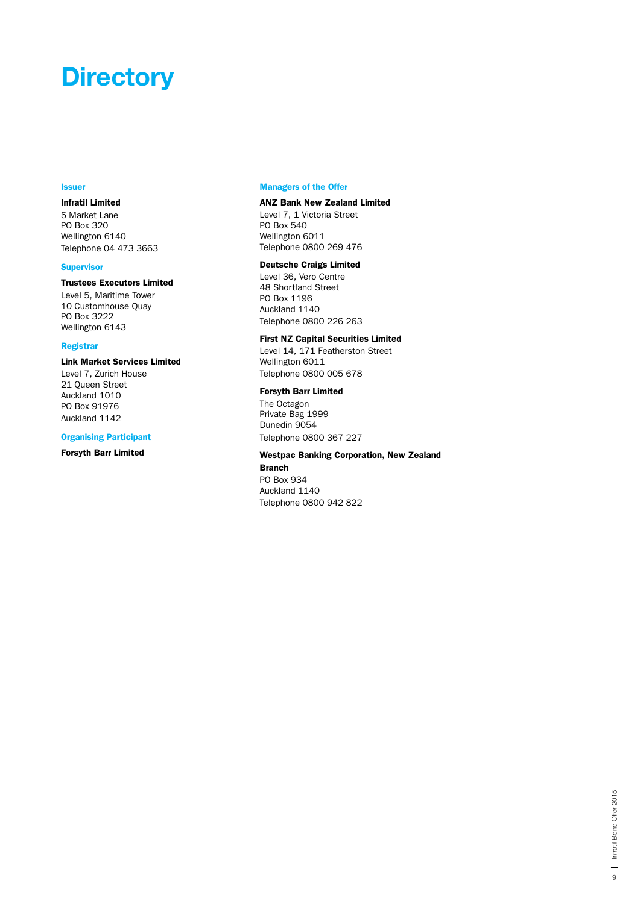## **Directory**

#### **Issuer**

## Infratil Limited

5 Market Lane PO Box 320 Wellington 6140 Telephone 04 473 3663

## **Supervisor**

### Trustees Executors Limited

Level 5, Maritime Tower 10 Customhouse Quay PO Box 3222 Wellington 6143

#### Registrar

### Link Market Services Limited

Level 7, Zurich House 21 Queen Street Auckland 1010 PO Box 91976 Auckland 1142

#### Organising Participant

Forsyth Barr Limited

#### Managers of the Offer

## ANZ Bank New Zealand Limited

Level 7, 1 Victoria Street PO Box 540 Wellington 6011 Telephone 0800 269 476

### Deutsche Craigs Limited

Level 36, Vero Centre 48 Shortland Street PO Box 1196 Auckland 1140 Telephone 0800 226 263

## First NZ Capital Securities Limited

Level 14, 171 Featherston Street Wellington 6011 Telephone 0800 005 678

#### Forsyth Barr Limited

The Octagon Private Bag 1999 Dunedin 9054 Telephone 0800 367 227

## Westpac Banking Corporation, New Zealand

### Branch PO Box 934 Auckland 1140 Telephone 0800 942 822

| Infratil Bond Offer 2015 Infratil Bond Offer 2015 9